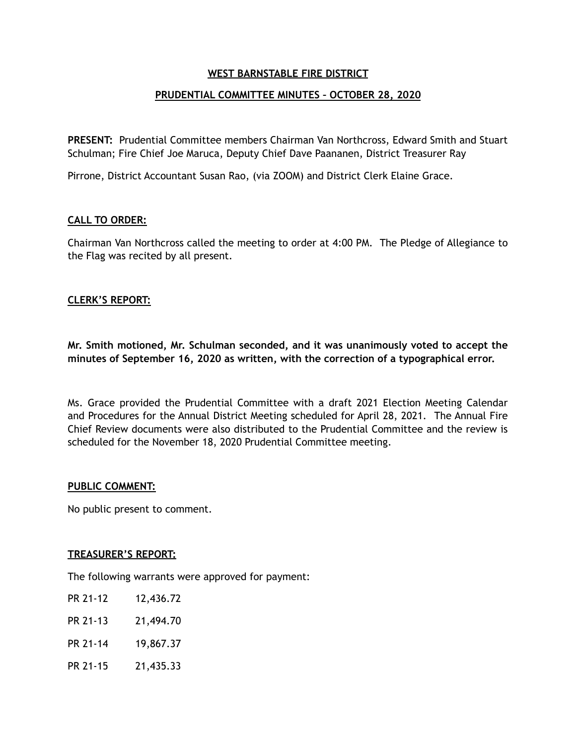# **WEST BARNSTABLE FIRE DISTRICT**

# **PRUDENTIAL COMMITTEE MINUTES – OCTOBER 28, 2020**

**PRESENT:** Prudential Committee members Chairman Van Northcross, Edward Smith and Stuart Schulman; Fire Chief Joe Maruca, Deputy Chief Dave Paananen, District Treasurer Ray

Pirrone, District Accountant Susan Rao, (via ZOOM) and District Clerk Elaine Grace.

### **CALL TO ORDER:**

Chairman Van Northcross called the meeting to order at 4:00 PM. The Pledge of Allegiance to the Flag was recited by all present.

### **CLERK'S REPORT:**

**Mr. Smith motioned, Mr. Schulman seconded, and it was unanimously voted to accept the minutes of September 16, 2020 as written, with the correction of a typographical error.** 

Ms. Grace provided the Prudential Committee with a draft 2021 Election Meeting Calendar and Procedures for the Annual District Meeting scheduled for April 28, 2021. The Annual Fire Chief Review documents were also distributed to the Prudential Committee and the review is scheduled for the November 18, 2020 Prudential Committee meeting.

#### **PUBLIC COMMENT:**

No public present to comment.

#### **TREASURER'S REPORT:**

The following warrants were approved for payment:

- PR 21-12 12,436.72
- PR 21-13 21,494.70
- PR 21-14 19,867.37
- PR 21-15 21,435.33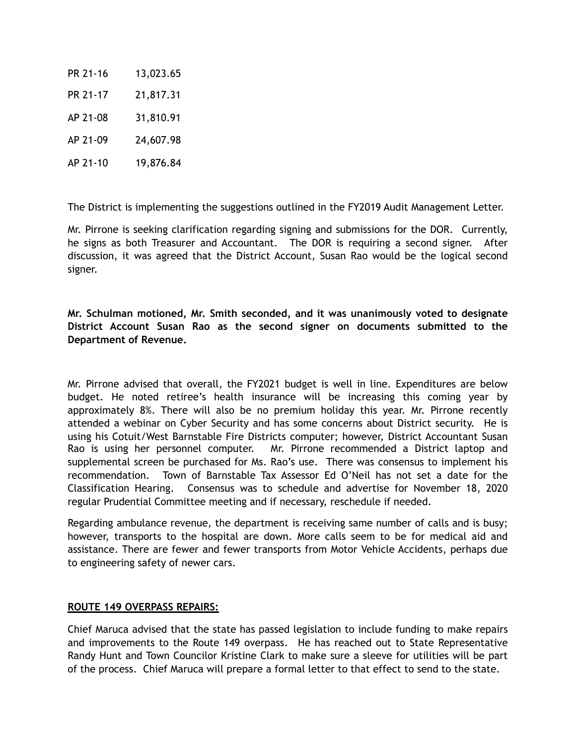| PR 21-16 | 13,023.65 |
|----------|-----------|
| PR 21-17 | 21,817.31 |
| AP 21-08 | 31,810.91 |
| AP 21-09 | 24,607.98 |
| AP 21-10 | 19,876.84 |

The District is implementing the suggestions outlined in the FY2019 Audit Management Letter.

Mr. Pirrone is seeking clarification regarding signing and submissions for the DOR. Currently, he signs as both Treasurer and Accountant. The DOR is requiring a second signer. After discussion, it was agreed that the District Account, Susan Rao would be the logical second signer.

**Mr. Schulman motioned, Mr. Smith seconded, and it was unanimously voted to designate District Account Susan Rao as the second signer on documents submitted to the Department of Revenue.** 

Mr. Pirrone advised that overall, the FY2021 budget is well in line. Expenditures are below budget. He noted retiree's health insurance will be increasing this coming year by approximately 8%. There will also be no premium holiday this year. Mr. Pirrone recently attended a webinar on Cyber Security and has some concerns about District security. He is using his Cotuit/West Barnstable Fire Districts computer; however, District Accountant Susan Rao is using her personnel computer. Mr. Pirrone recommended a District laptop and supplemental screen be purchased for Ms. Rao's use. There was consensus to implement his recommendation. Town of Barnstable Tax Assessor Ed O'Neil has not set a date for the Classification Hearing. Consensus was to schedule and advertise for November 18, 2020 regular Prudential Committee meeting and if necessary, reschedule if needed.

Regarding ambulance revenue, the department is receiving same number of calls and is busy; however, transports to the hospital are down. More calls seem to be for medical aid and assistance. There are fewer and fewer transports from Motor Vehicle Accidents, perhaps due to engineering safety of newer cars.

# **ROUTE 149 OVERPASS REPAIRS:**

Chief Maruca advised that the state has passed legislation to include funding to make repairs and improvements to the Route 149 overpass. He has reached out to State Representative Randy Hunt and Town Councilor Kristine Clark to make sure a sleeve for utilities will be part of the process. Chief Maruca will prepare a formal letter to that effect to send to the state.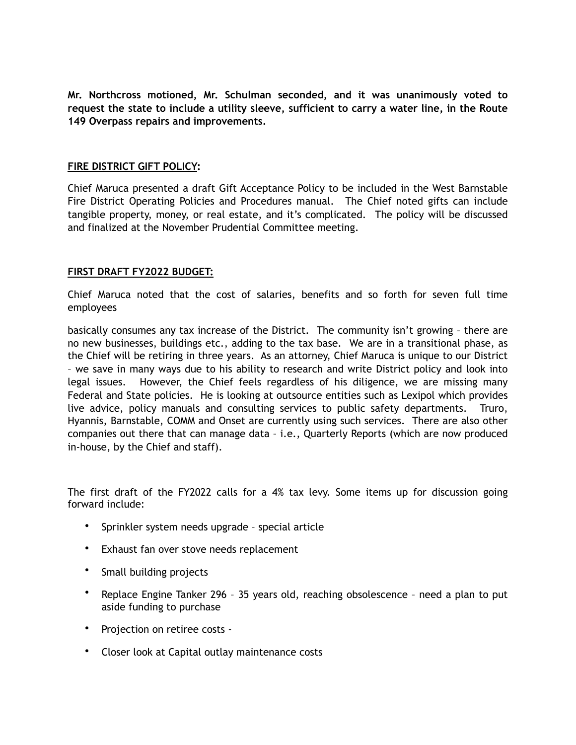**Mr. Northcross motioned, Mr. Schulman seconded, and it was unanimously voted to request the state to include a utility sleeve, sufficient to carry a water line, in the Route 149 Overpass repairs and improvements.** 

### **FIRE DISTRICT GIFT POLICY:**

Chief Maruca presented a draft Gift Acceptance Policy to be included in the West Barnstable Fire District Operating Policies and Procedures manual. The Chief noted gifts can include tangible property, money, or real estate, and it's complicated. The policy will be discussed and finalized at the November Prudential Committee meeting.

### **FIRST DRAFT FY2022 BUDGET:**

Chief Maruca noted that the cost of salaries, benefits and so forth for seven full time employees

basically consumes any tax increase of the District. The community isn't growing – there are no new businesses, buildings etc., adding to the tax base. We are in a transitional phase, as the Chief will be retiring in three years. As an attorney, Chief Maruca is unique to our District – we save in many ways due to his ability to research and write District policy and look into legal issues. However, the Chief feels regardless of his diligence, we are missing many Federal and State policies. He is looking at outsource entities such as Lexipol which provides live advice, policy manuals and consulting services to public safety departments. Truro, Hyannis, Barnstable, COMM and Onset are currently using such services. There are also other companies out there that can manage data – i.e., Quarterly Reports (which are now produced in-house, by the Chief and staff).

The first draft of the FY2022 calls for a 4% tax levy. Some items up for discussion going forward include:

- Sprinkler system needs upgrade special article
- Exhaust fan over stove needs replacement
- Small building projects
- Replace Engine Tanker 296 35 years old, reaching obsolescence need a plan to put aside funding to purchase
- Projection on retiree costs -
- Closer look at Capital outlay maintenance costs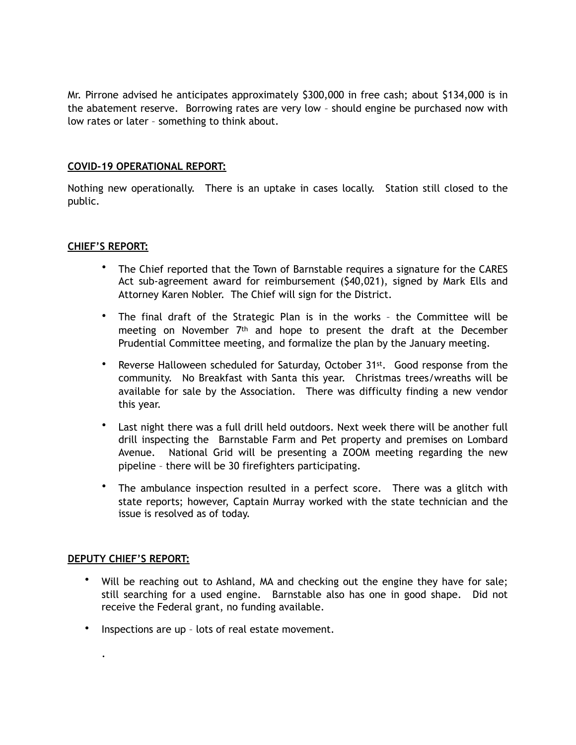Mr. Pirrone advised he anticipates approximately \$300,000 in free cash; about \$134,000 is in the abatement reserve. Borrowing rates are very low – should engine be purchased now with low rates or later – something to think about.

### **COVID-19 OPERATIONAL REPORT:**

Nothing new operationally. There is an uptake in cases locally. Station still closed to the public.

# **CHIEF'S REPORT:**

- The Chief reported that the Town of Barnstable requires a signature for the CARES Act sub-agreement award for reimbursement (\$40,021), signed by Mark Ells and Attorney Karen Nobler. The Chief will sign for the District.
- The final draft of the Strategic Plan is in the works the Committee will be meeting on November  $7<sup>th</sup>$  and hope to present the draft at the December Prudential Committee meeting, and formalize the plan by the January meeting.
- Reverse Halloween scheduled for Saturday, October 31<sup>st</sup>. Good response from the community. No Breakfast with Santa this year. Christmas trees/wreaths will be available for sale by the Association. There was difficulty finding a new vendor this year.
- Last night there was a full drill held outdoors. Next week there will be another full drill inspecting the Barnstable Farm and Pet property and premises on Lombard Avenue. National Grid will be presenting a ZOOM meeting regarding the new pipeline – there will be 30 firefighters participating.
- The ambulance inspection resulted in a perfect score. There was a glitch with state reports; however, Captain Murray worked with the state technician and the issue is resolved as of today.

#### **DEPUTY CHIEF'S REPORT:**

.

- Will be reaching out to Ashland, MA and checking out the engine they have for sale; still searching for a used engine. Barnstable also has one in good shape. Did not receive the Federal grant, no funding available.
- Inspections are up lots of real estate movement.